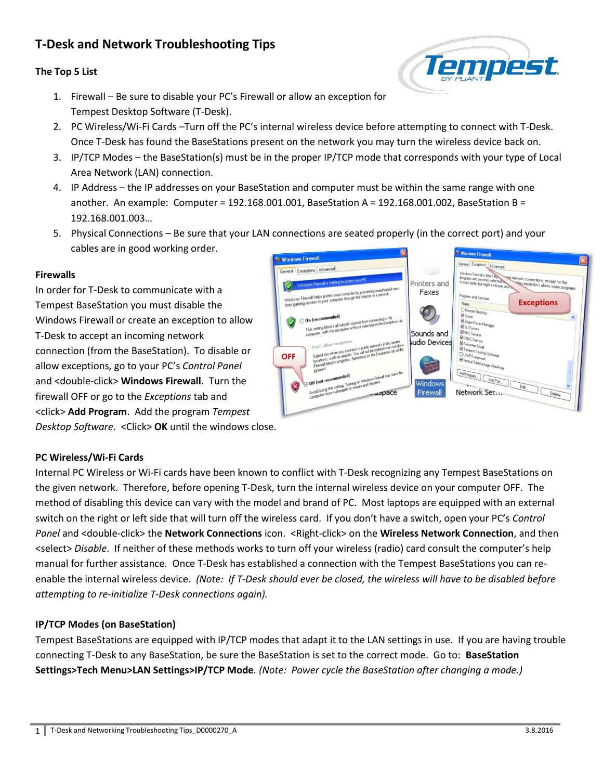# **T-Desk and Network Troubleshooting Tips**

### **The Top 5 List**



- 1. Firewall Be sure to disable your PC's Firewall or allow an exception for Tempest Desktop Software (T-Desk).
- 2. PC Wireless/Wi-Fi Cards –Turn off the PC's internal wireless device before attempting to connect with T-Desk. Once T-Desk has found the BaseStations present on the network you may turn the wireless device back on.
- 3. IP/TCP Modes the BaseStation(s) must be in the proper IP/TCP mode that corresponds with your type of Local Area Network (LAN) connection.
- 4. IP Address the IP addresses on your BaseStation and computer must be within the same range with one another. An example: Computer =  $192.168.001.001$ , BaseStation A =  $192.168.001.002$ , BaseStation B = 192.168.001.003…
- 5. Physical Connections Be sure that your LAN connections are seated properly (in the correct port) and your cables are in good working order.

#### **Firewalls**

In order for T-Desk to communicate with a Tempest BaseStation you must disable the Windows Firewall or create an exception to allow T-Desk to accept an incoming network connection (from the BaseStation). To disable or allow exceptions, go to your PC's *Control Panel* and <double-click> **Windows Firewall**. Turn the firewall OFF or go to the *Exceptions* tab and <click> **Add Program**. Add the program *Tempest Desktop Software*. <Click> **OK** until the windows close.



# **PC Wireless/Wi-Fi Cards**

Internal PC Wireless or Wi-Fi cards have been known to conflict with T-Desk recognizing any Tempest BaseStations on the given network. Therefore, before opening T-Desk, turn the internal wireless device on your computer OFF. The method of disabling this device can vary with the model and brand of PC. Most laptops are equipped with an external switch on the right or left side that will turn off the wireless card. If you don't have a switch, open your PC's *Control Panel* and <double-click> the **Network Connections** icon. <Right-click> on the **Wireless Network Connection**, and then <select> *Disable*. If neither of these methods works to turn off your wireless (radio) card consult the computer's help manual for further assistance. Once T-Desk has established a connection with the Tempest BaseStations you can reenable the internal wireless device. *(Note: If T-Desk should ever be closed, the wireless will have to be disabled before attempting to re-initialize T-Desk connections again).*

### **IP/TCP Modes (on BaseStation)**

Tempest BaseStations are equipped with IP/TCP modes that adapt it to the LAN settings in use. If you are having trouble connecting T-Desk to any BaseStation, be sure the BaseStation is set to the correct mode. Go to: **BaseStation Settings>Tech Menu>LAN Settings>IP/TCP Mode***. (Note: Power cycle the BaseStation after changing a mode.)*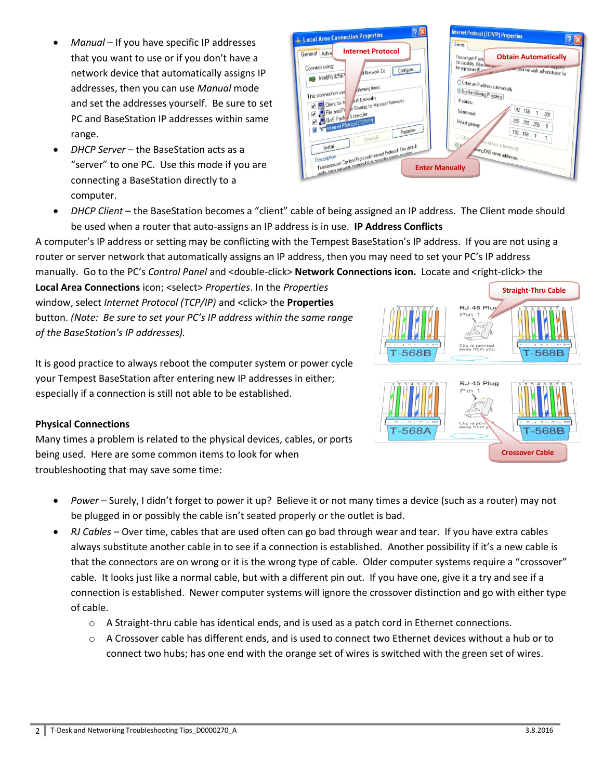- *Manual* If you have specific IP addresses that you want to use or if you don't have a network device that automatically assigns IP addresses, then you can use *Manual* mode and set the addresses yourself. Be sure to set PC and BaseStation IP addresses within same range.
- *DHCP Server* the BaseStation acts as a "server" to one PC. Use this mode if you are connecting a BaseStation directly to a computer.

| <b>Local Area Connection Properties</b>                                                                                                                                                                                                                                                                                                                                                                                                           | Internet Protocol (TCP/IP) Properties<br>General                                                                                                                                                                                                                                                                                                                                                                                              |
|---------------------------------------------------------------------------------------------------------------------------------------------------------------------------------------------------------------------------------------------------------------------------------------------------------------------------------------------------------------------------------------------------------------------------------------------------|-----------------------------------------------------------------------------------------------------------------------------------------------------------------------------------------------------------------------------------------------------------------------------------------------------------------------------------------------------------------------------------------------------------------------------------------------|
| <b>Internet Protocol</b><br>Advar<br>General<br>Connect using:<br>Configure<br>Network Co<br>Intel(R) 82567<br>ollowing items:<br>This connection use<br><b>Folt Networks</b><br>File and Pr Sharing for Microsoft Networks<br><b>QoS Pack Scheduler</b><br>Themet Protocol (TCP/IP)<br>Properties<br>Uninstall<br>Transmission Control Protocol/Internet Protocol The detaut<br>with a method of the company of the communication<br>Description | You can get IP setti-<br><b>Obtain Automatically</b><br>this capability. Otherwise, we<br>the appropriate IP<br>your network administrator for<br>O Obtain an IP address automatically<br>O Use the following IP address<br>IP address:<br>192.168.1<br>Subnet mask:<br>001<br>255.255.255.0<br>Default gateway:<br>192.168.1.1<br>O Obtain I<br>er address automatically<br>$\odot$ u<br>wing DNS server addresses:<br><b>Enter Manually</b> |

 *DHCP Client* – the BaseStation becomes a "client" cable of being assigned an IP address. The Client mode should be used when a router that auto-assigns an IP address is in use. **IP Address Conflicts**

A computer's IP address or setting may be conflicting with the Tempest BaseStation's IP address. If you are not using a router or server network that automatically assigns an IP address, then you may need to set your PC's IP address manually. Go to the PC's *Control Panel* and <double-click> **Network Connections icon.** Locate and <right-click> the

**Local Area Connections** icon; <select> *Properties*. In the *Properties*  window, select *Internet Protocol (TCP/IP)* and <click> the **Properties** button. *(Note: Be sure to set your PC's IP address within the same range of the BaseStation's IP addresses).*

It is good practice to always reboot the computer system or power cycle your Tempest BaseStation after entering new IP addresses in either; especially if a connection is still not able to be established.

# RJ-45 Plug RJ-45 Plug Pin 1 568B 568 **Crossover Cable**

**Straight-Thru Cable**

# **Physical Connections**

Many times a problem is related to the physical devices, cables, or ports being used. Here are some common items to look for when troubleshooting that may save some time:

- *Power* Surely, I didn't forget to power it up? Believe it or not many times a device (such as a router) may not be plugged in or possibly the cable isn't seated properly or the outlet is bad.
- *RJ Cables* Over time, cables that are used often can go bad through wear and tear. If you have extra cables always substitute another cable in to see if a connection is established. Another possibility if it's a new cable is that the connectors are on wrong or it is the wrong type of cable. Older computer systems require a "crossover" cable. It looks just like a normal cable, but with a different pin out. If you have one, give it a try and see if a connection is established. Newer computer systems will ignore the crossover distinction and go with either type of cable.
	- o A Straight-thru cable has identical ends, and is used as a patch cord in Ethernet connections.
	- $\circ$  A Crossover cable has different ends, and is used to connect two Ethernet devices without a hub or to connect two hubs; has one end with the orange set of wires is switched with the green set of wires.